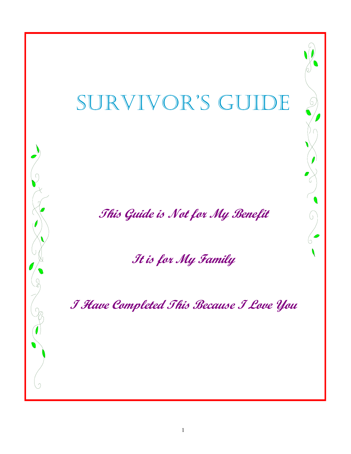# SURVIVOR'S GUIDE

**This Guide is Not for My Benefit** 

 $\sqrt{2}$ 

 $\bigcirc$ 

**It is for My Family** 

**I Have Completed This Because I Love You**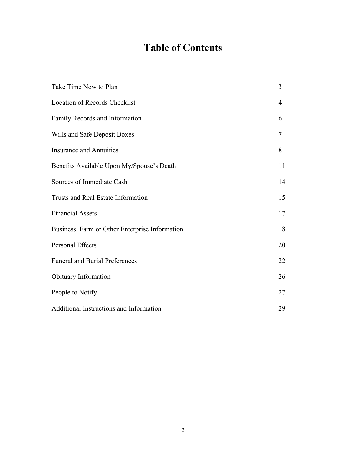# **Table of Contents**

| Take Time Now to Plan                          | 3  |
|------------------------------------------------|----|
| <b>Location of Records Checklist</b>           | 4  |
| Family Records and Information                 | 6  |
| Wills and Safe Deposit Boxes                   | 7  |
| <b>Insurance and Annuities</b>                 | 8  |
| Benefits Available Upon My/Spouse's Death      | 11 |
| Sources of Immediate Cash                      | 14 |
| <b>Trusts and Real Estate Information</b>      | 15 |
| <b>Financial Assets</b>                        | 17 |
| Business, Farm or Other Enterprise Information | 18 |
| Personal Effects                               | 20 |
| <b>Funeral and Burial Preferences</b>          | 22 |
| Obituary Information                           | 26 |
| People to Notify                               | 27 |
| Additional Instructions and Information        | 29 |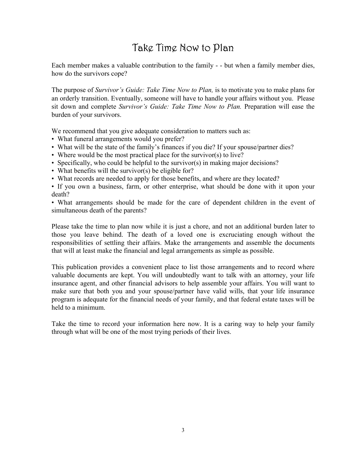# Take Time Now to Plan

Each member makes a valuable contribution to the family - - but when a family member dies, how do the survivors cope?

The purpose of *Survivor's Guide: Take Time Now to Plan,* is to motivate you to make plans for an orderly transition. Eventually, someone will have to handle your affairs without you. Please sit down and complete *Survivor's Guide: Take Time Now to Plan.* Preparation will ease the burden of your survivors.

We recommend that you give adequate consideration to matters such as:

- What funeral arrangements would you prefer?
- What will be the state of the family's finances if you die? If your spouse/partner dies?
- Where would be the most practical place for the survivor(s) to live?
- Specifically, who could be helpful to the survivor(s) in making major decisions?
- What benefits will the survivor(s) be eligible for?
- What records are needed to apply for those benefits, and where are they located?

• If you own a business, farm, or other enterprise, what should be done with it upon your death?

• What arrangements should be made for the care of dependent children in the event of simultaneous death of the parents?

Please take the time to plan now while it is just a chore, and not an additional burden later to those you leave behind. The death of a loved one is excruciating enough without the responsibilities of settling their affairs. Make the arrangements and assemble the documents that will at least make the financial and legal arrangements as simple as possible.

This publication provides a convenient place to list those arrangements and to record where valuable documents are kept. You will undoubtedly want to talk with an attorney, your life insurance agent, and other financial advisors to help assemble your affairs. You will want to make sure that both you and your spouse/partner have valid wills, that your life insurance program is adequate for the financial needs of your family, and that federal estate taxes will be held to a minimum.

Take the time to record your information here now. It is a caring way to help your family through what will be one of the most trying periods of their lives.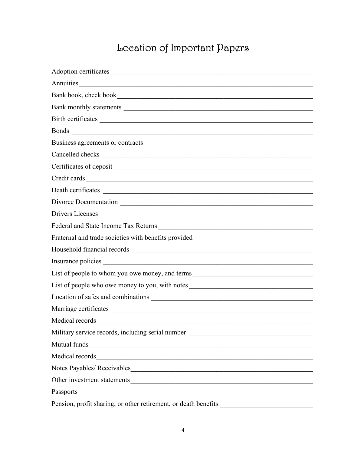# Location of Important Papgrs

| Adoption certificates                                                             |
|-----------------------------------------------------------------------------------|
| Annuities                                                                         |
|                                                                                   |
|                                                                                   |
| Birth certificates                                                                |
|                                                                                   |
| Business agreements or contracts                                                  |
|                                                                                   |
|                                                                                   |
|                                                                                   |
|                                                                                   |
| Divorce Documentation                                                             |
| Drivers Licenses                                                                  |
| Federal and State Income Tax Returns                                              |
| Fraternal and trade societies with benefits provided____________________________  |
|                                                                                   |
|                                                                                   |
| List of people to whom you owe money, and terms__________________________________ |
| List of people who owe money to you, with notes                                   |
|                                                                                   |
|                                                                                   |
| Medical records                                                                   |
| Military service records, including serial number ______________________________  |
| Mutual funds                                                                      |
|                                                                                   |
|                                                                                   |
|                                                                                   |
|                                                                                   |
|                                                                                   |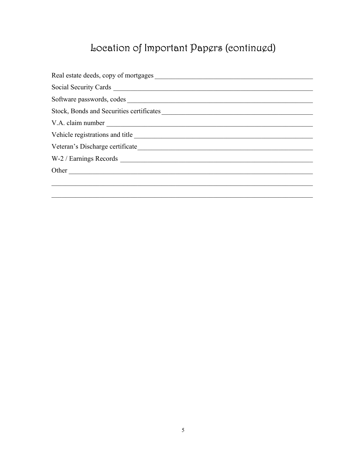# Location of Important Papers (continued)

| Software passwords, codes                |
|------------------------------------------|
| Stock, Bonds and Securities certificates |
|                                          |
|                                          |
|                                          |
|                                          |
| Other                                    |
|                                          |
|                                          |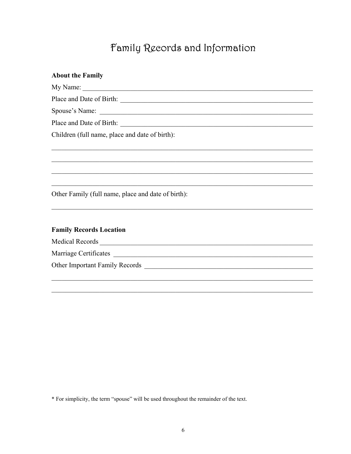# Family Records and Information

| <b>About the Family</b>                                                                                                                 |
|-----------------------------------------------------------------------------------------------------------------------------------------|
|                                                                                                                                         |
|                                                                                                                                         |
|                                                                                                                                         |
|                                                                                                                                         |
| Children (full name, place and date of birth):                                                                                          |
|                                                                                                                                         |
|                                                                                                                                         |
|                                                                                                                                         |
| Other Family (full name, place and date of birth):<br>,我们也不能在这里的人,我们也不能在这里的人,我们也不能在这里的人,我们也不能在这里的人,我们也不能在这里的人,我们也不能在这里的人,我们也不能在这里的人,我们也 |
|                                                                                                                                         |
| <b>Family Records Location</b>                                                                                                          |
|                                                                                                                                         |
|                                                                                                                                         |
|                                                                                                                                         |
|                                                                                                                                         |

\* For simplicity, the term "spouse" will be used throughout the remainder of the text.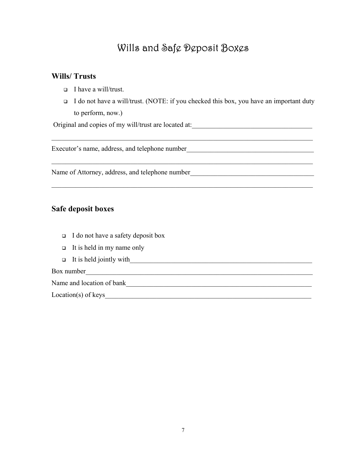### Wills and Safe Deposit Boxes

#### **Wills/ Trusts**

- $\Box$  I have a will/trust.
- $\Box$  I do not have a will/trust. (NOTE: if you checked this box, you have an important duty to perform, now.)

 $\mathcal{L}_\mathcal{L} = \{ \mathcal{L}_\mathcal{L} = \{ \mathcal{L}_\mathcal{L} = \{ \mathcal{L}_\mathcal{L} = \{ \mathcal{L}_\mathcal{L} = \{ \mathcal{L}_\mathcal{L} = \{ \mathcal{L}_\mathcal{L} = \{ \mathcal{L}_\mathcal{L} = \{ \mathcal{L}_\mathcal{L} = \{ \mathcal{L}_\mathcal{L} = \{ \mathcal{L}_\mathcal{L} = \{ \mathcal{L}_\mathcal{L} = \{ \mathcal{L}_\mathcal{L} = \{ \mathcal{L}_\mathcal{L} = \{ \mathcal{L}_\mathcal{$ 

 $\mathcal{L}_\mathcal{L} = \{ \mathcal{L}_\mathcal{L} = \{ \mathcal{L}_\mathcal{L} = \{ \mathcal{L}_\mathcal{L} = \{ \mathcal{L}_\mathcal{L} = \{ \mathcal{L}_\mathcal{L} = \{ \mathcal{L}_\mathcal{L} = \{ \mathcal{L}_\mathcal{L} = \{ \mathcal{L}_\mathcal{L} = \{ \mathcal{L}_\mathcal{L} = \{ \mathcal{L}_\mathcal{L} = \{ \mathcal{L}_\mathcal{L} = \{ \mathcal{L}_\mathcal{L} = \{ \mathcal{L}_\mathcal{L} = \{ \mathcal{L}_\mathcal{$ 

 $\mathcal{L}_\mathcal{L} = \{ \mathcal{L}_\mathcal{L} = \{ \mathcal{L}_\mathcal{L} = \{ \mathcal{L}_\mathcal{L} = \{ \mathcal{L}_\mathcal{L} = \{ \mathcal{L}_\mathcal{L} = \{ \mathcal{L}_\mathcal{L} = \{ \mathcal{L}_\mathcal{L} = \{ \mathcal{L}_\mathcal{L} = \{ \mathcal{L}_\mathcal{L} = \{ \mathcal{L}_\mathcal{L} = \{ \mathcal{L}_\mathcal{L} = \{ \mathcal{L}_\mathcal{L} = \{ \mathcal{L}_\mathcal{L} = \{ \mathcal{L}_\mathcal{$ 

Original and copies of my will/trust are located at:\_\_\_\_\_\_\_\_\_\_\_\_\_\_\_\_\_\_\_\_\_\_\_\_\_\_\_\_\_

Executor's name, address, and telephone number

Name of Attorney, address, and telephone number\_\_\_\_\_\_\_\_\_\_\_\_\_\_\_\_\_\_\_\_\_\_\_\_\_\_\_\_\_\_\_\_\_\_

#### **Safe deposit boxes**

- $\Box$  I do not have a safety deposit box
- $\Box$  It is held in my name only
- $\Box$  It is held jointly with

#### Box number

Name and location of bank

 $Location(s)$  of keys $\overline{\phantom{a}}$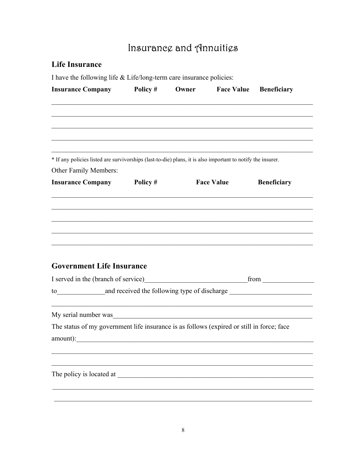# Insurance and Annuities

#### **Life Insurance**

I have the following life  $&$  Life/long-term care insurance policies:

|                                                                                                             | <b>Insurance Company</b> Policy # | Owner | <b>Face Value Beneficiary</b> |                    |
|-------------------------------------------------------------------------------------------------------------|-----------------------------------|-------|-------------------------------|--------------------|
|                                                                                                             |                                   |       |                               |                    |
|                                                                                                             |                                   |       |                               |                    |
|                                                                                                             |                                   |       |                               |                    |
| * If any policies listed are survivorships (last-to-die) plans, it is also important to notify the insurer. |                                   |       |                               |                    |
| Other Family Members:                                                                                       |                                   |       |                               |                    |
| <b>Insurance Company</b> Policy #                                                                           |                                   |       | <b>Face Value</b>             | <b>Beneficiary</b> |
|                                                                                                             |                                   |       |                               |                    |
|                                                                                                             |                                   |       |                               |                    |
|                                                                                                             |                                   |       |                               |                    |
|                                                                                                             |                                   |       |                               |                    |
|                                                                                                             |                                   |       |                               |                    |
|                                                                                                             |                                   |       |                               |                    |
|                                                                                                             |                                   |       |                               |                    |
|                                                                                                             |                                   |       |                               |                    |
| <b>Government Life Insurance</b>                                                                            |                                   |       |                               |                    |
|                                                                                                             |                                   |       |                               |                    |
| <u> 1989 - Johann John Stein, mars an deus Amerikaansk kommunister (</u>                                    |                                   |       |                               |                    |
| My serial number was                                                                                        |                                   |       |                               |                    |
| The status of my government life insurance is as follows (expired or still in force; face                   |                                   |       |                               |                    |
|                                                                                                             |                                   |       |                               |                    |
| amount):                                                                                                    |                                   |       |                               |                    |
|                                                                                                             |                                   |       |                               |                    |
| The policy is located at                                                                                    |                                   |       |                               |                    |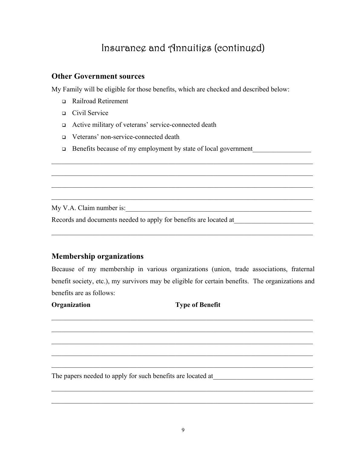### Insurance and Annuities (continued)

 $\mathcal{L}_\text{max}$  , and the contribution of the contribution of the contribution of the contribution of the contribution of the contribution of the contribution of the contribution of the contribution of the contribution of t

 $\mathcal{L}_\mathcal{L} = \{ \mathcal{L}_\mathcal{L} = \{ \mathcal{L}_\mathcal{L} = \{ \mathcal{L}_\mathcal{L} = \{ \mathcal{L}_\mathcal{L} = \{ \mathcal{L}_\mathcal{L} = \{ \mathcal{L}_\mathcal{L} = \{ \mathcal{L}_\mathcal{L} = \{ \mathcal{L}_\mathcal{L} = \{ \mathcal{L}_\mathcal{L} = \{ \mathcal{L}_\mathcal{L} = \{ \mathcal{L}_\mathcal{L} = \{ \mathcal{L}_\mathcal{L} = \{ \mathcal{L}_\mathcal{L} = \{ \mathcal{L}_\mathcal{$ 

 $\mathcal{L}_\text{max}$  , and the contribution of the contribution of the contribution of the contribution of the contribution of the contribution of the contribution of the contribution of the contribution of the contribution of t

 $\mathcal{L}_\mathcal{L} = \{ \mathcal{L}_\mathcal{L} = \{ \mathcal{L}_\mathcal{L} = \{ \mathcal{L}_\mathcal{L} = \{ \mathcal{L}_\mathcal{L} = \{ \mathcal{L}_\mathcal{L} = \{ \mathcal{L}_\mathcal{L} = \{ \mathcal{L}_\mathcal{L} = \{ \mathcal{L}_\mathcal{L} = \{ \mathcal{L}_\mathcal{L} = \{ \mathcal{L}_\mathcal{L} = \{ \mathcal{L}_\mathcal{L} = \{ \mathcal{L}_\mathcal{L} = \{ \mathcal{L}_\mathcal{L} = \{ \mathcal{L}_\mathcal{$ 

 $\mathcal{L}_\mathcal{L} = \{ \mathcal{L}_\mathcal{L} = \{ \mathcal{L}_\mathcal{L} = \{ \mathcal{L}_\mathcal{L} = \{ \mathcal{L}_\mathcal{L} = \{ \mathcal{L}_\mathcal{L} = \{ \mathcal{L}_\mathcal{L} = \{ \mathcal{L}_\mathcal{L} = \{ \mathcal{L}_\mathcal{L} = \{ \mathcal{L}_\mathcal{L} = \{ \mathcal{L}_\mathcal{L} = \{ \mathcal{L}_\mathcal{L} = \{ \mathcal{L}_\mathcal{L} = \{ \mathcal{L}_\mathcal{L} = \{ \mathcal{L}_\mathcal{$ 

#### **Other Government sources**

My Family will be eligible for those benefits, which are checked and described below:

- □ Railroad Retirement
- Civil Service
- Active military of veterans' service-connected death
- Veterans' non-service-connected death
- $\Box$  Benefits because of my employment by state of local government

My V.A. Claim number is:\_\_\_\_\_\_\_\_\_\_\_\_\_\_\_\_\_\_\_\_\_\_\_\_\_\_\_\_\_\_\_\_\_\_\_\_\_\_\_\_\_\_\_\_\_\_\_\_\_\_\_\_\_\_

Records and documents needed to apply for benefits are located at\_\_\_\_\_\_\_\_\_\_\_\_\_\_\_\_\_\_\_\_\_\_\_

#### **Membership organizations**

Because of my membership in various organizations (union, trade associations, fraternal benefit society, etc.), my survivors may be eligible for certain benefits. The organizations and benefits are as follows:

 $\mathcal{L}_\mathcal{L} = \{ \mathcal{L}_\mathcal{L} = \{ \mathcal{L}_\mathcal{L} = \{ \mathcal{L}_\mathcal{L} = \{ \mathcal{L}_\mathcal{L} = \{ \mathcal{L}_\mathcal{L} = \{ \mathcal{L}_\mathcal{L} = \{ \mathcal{L}_\mathcal{L} = \{ \mathcal{L}_\mathcal{L} = \{ \mathcal{L}_\mathcal{L} = \{ \mathcal{L}_\mathcal{L} = \{ \mathcal{L}_\mathcal{L} = \{ \mathcal{L}_\mathcal{L} = \{ \mathcal{L}_\mathcal{L} = \{ \mathcal{L}_\mathcal{$ 

 $\mathcal{L}_\mathcal{L} = \{ \mathcal{L}_\mathcal{L} = \{ \mathcal{L}_\mathcal{L} = \{ \mathcal{L}_\mathcal{L} = \{ \mathcal{L}_\mathcal{L} = \{ \mathcal{L}_\mathcal{L} = \{ \mathcal{L}_\mathcal{L} = \{ \mathcal{L}_\mathcal{L} = \{ \mathcal{L}_\mathcal{L} = \{ \mathcal{L}_\mathcal{L} = \{ \mathcal{L}_\mathcal{L} = \{ \mathcal{L}_\mathcal{L} = \{ \mathcal{L}_\mathcal{L} = \{ \mathcal{L}_\mathcal{L} = \{ \mathcal{L}_\mathcal{$ 

 $\mathcal{L}_\text{max}$  , and the contribution of the contribution of the contribution of the contribution of the contribution of the contribution of the contribution of the contribution of the contribution of the contribution of t

 $\mathcal{L}_\mathcal{L} = \{ \mathcal{L}_\mathcal{L} = \{ \mathcal{L}_\mathcal{L} = \{ \mathcal{L}_\mathcal{L} = \{ \mathcal{L}_\mathcal{L} = \{ \mathcal{L}_\mathcal{L} = \{ \mathcal{L}_\mathcal{L} = \{ \mathcal{L}_\mathcal{L} = \{ \mathcal{L}_\mathcal{L} = \{ \mathcal{L}_\mathcal{L} = \{ \mathcal{L}_\mathcal{L} = \{ \mathcal{L}_\mathcal{L} = \{ \mathcal{L}_\mathcal{L} = \{ \mathcal{L}_\mathcal{L} = \{ \mathcal{L}_\mathcal{$ 

 $\mathcal{L}_\mathcal{L} = \{ \mathcal{L}_\mathcal{L} = \{ \mathcal{L}_\mathcal{L} = \{ \mathcal{L}_\mathcal{L} = \{ \mathcal{L}_\mathcal{L} = \{ \mathcal{L}_\mathcal{L} = \{ \mathcal{L}_\mathcal{L} = \{ \mathcal{L}_\mathcal{L} = \{ \mathcal{L}_\mathcal{L} = \{ \mathcal{L}_\mathcal{L} = \{ \mathcal{L}_\mathcal{L} = \{ \mathcal{L}_\mathcal{L} = \{ \mathcal{L}_\mathcal{L} = \{ \mathcal{L}_\mathcal{L} = \{ \mathcal{L}_\mathcal{$ 

 $\mathcal{L}_\mathcal{L} = \{ \mathcal{L}_\mathcal{L} = \{ \mathcal{L}_\mathcal{L} = \{ \mathcal{L}_\mathcal{L} = \{ \mathcal{L}_\mathcal{L} = \{ \mathcal{L}_\mathcal{L} = \{ \mathcal{L}_\mathcal{L} = \{ \mathcal{L}_\mathcal{L} = \{ \mathcal{L}_\mathcal{L} = \{ \mathcal{L}_\mathcal{L} = \{ \mathcal{L}_\mathcal{L} = \{ \mathcal{L}_\mathcal{L} = \{ \mathcal{L}_\mathcal{L} = \{ \mathcal{L}_\mathcal{L} = \{ \mathcal{L}_\mathcal{$ 

 $\mathcal{L}_\mathcal{L} = \{ \mathcal{L}_\mathcal{L} = \{ \mathcal{L}_\mathcal{L} = \{ \mathcal{L}_\mathcal{L} = \{ \mathcal{L}_\mathcal{L} = \{ \mathcal{L}_\mathcal{L} = \{ \mathcal{L}_\mathcal{L} = \{ \mathcal{L}_\mathcal{L} = \{ \mathcal{L}_\mathcal{L} = \{ \mathcal{L}_\mathcal{L} = \{ \mathcal{L}_\mathcal{L} = \{ \mathcal{L}_\mathcal{L} = \{ \mathcal{L}_\mathcal{L} = \{ \mathcal{L}_\mathcal{L} = \{ \mathcal{L}_\mathcal{$ 

| Organization |  |  |
|--------------|--|--|
|              |  |  |

#### **Type of Benefit**

The papers needed to apply for such benefits are located at\_\_\_\_\_\_\_\_\_\_\_\_\_\_\_\_\_\_\_\_\_\_\_\_\_\_\_\_\_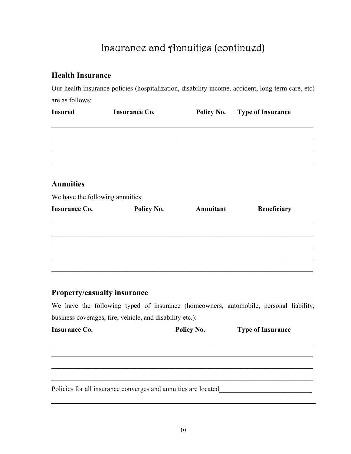## Insurance and Annuities (continued)

#### **Health Insurance**

Our health insurance policies (hospitalization, disability income, accident, long-term care, etc) are as follows:

| <b>Insured</b>                   | <b>Insurance Co.</b> |           | Policy No. Type of Insurance |
|----------------------------------|----------------------|-----------|------------------------------|
|                                  |                      |           |                              |
|                                  |                      |           |                              |
|                                  |                      |           |                              |
| <b>Annuities</b>                 |                      |           |                              |
| We have the following annuities: |                      |           |                              |
| <b>Insurance Co.</b>             | Policy No.           | Annuitant | <b>Beneficiary</b>           |
|                                  |                      |           |                              |
|                                  |                      |           |                              |
|                                  |                      |           |                              |
|                                  |                      |           |                              |
|                                  |                      |           |                              |

#### **Property/casualty insurance**

We have the following typed of insurance (homeowners, automobile, personal liability, business coverages, fire, vehicle, and disability etc.):

| <b>Insurance Co.</b>                                           | Policy No. | <b>Type of Insurance</b> |
|----------------------------------------------------------------|------------|--------------------------|
|                                                                |            |                          |
|                                                                |            |                          |
|                                                                |            |                          |
| Policies for all insurance converges and annuities are located |            |                          |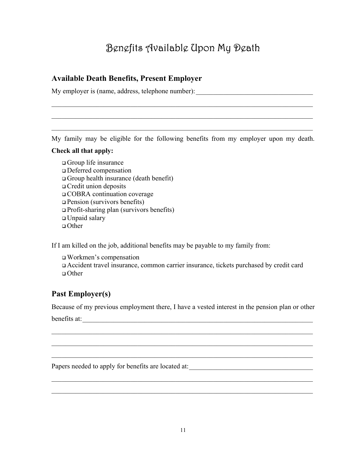# Benefits Available Upon My Death

#### **Available Death Benefits, Present Employer**

My employer is (name, address, telephone number):

My family may be eligible for the following benefits from my employer upon my death.

 $\mathcal{L}_\text{max}$  , and the contribution of the contribution of the contribution of the contribution of the contribution of the contribution of the contribution of the contribution of the contribution of the contribution of t

 $\mathcal{L}_\text{max}$  , and the contribution of the contribution of the contribution of the contribution of the contribution of the contribution of the contribution of the contribution of the contribution of the contribution of t

 $\mathcal{L}_\text{max}$  , and the contribution of the contribution of the contribution of the contribution of the contribution of the contribution of the contribution of the contribution of the contribution of the contribution of t

#### **Check all that apply:**

 Group life insurance Deferred compensation Group health insurance (death benefit) Credit union deposits COBRA continuation coverage Pension (survivors benefits) Profit-sharing plan (survivors benefits) Unpaid salary  $\Box$  Other

If I am killed on the job, additional benefits may be payable to my family from:

 Workmen's compensation Accident travel insurance, common carrier insurance, tickets purchased by credit card Other

#### **Past Employer(s)**

Because of my previous employment there, I have a vested interest in the pension plan or other

 $\mathcal{L}_\text{max}$  , and the contribution of the contribution of the contribution of the contribution of the contribution of the contribution of the contribution of the contribution of the contribution of the contribution of t

 $\mathcal{L}_\text{max}$  , and the contribution of the contribution of the contribution of the contribution of the contribution of the contribution of the contribution of the contribution of the contribution of the contribution of t

 $\mathcal{L}_\text{max}$  , and the contribution of the contribution of the contribution of the contribution of the contribution of the contribution of the contribution of the contribution of the contribution of the contribution of t

 $\mathcal{L}_\text{max}$  , and the contribution of the contribution of the contribution of the contribution of the contribution of the contribution of the contribution of the contribution of the contribution of the contribution of t

 $\mathcal{L}_\text{max}$  , and the contribution of the contribution of the contribution of the contribution of the contribution of the contribution of the contribution of the contribution of the contribution of the contribution of t

benefits at:

Papers needed to apply for benefits are located at: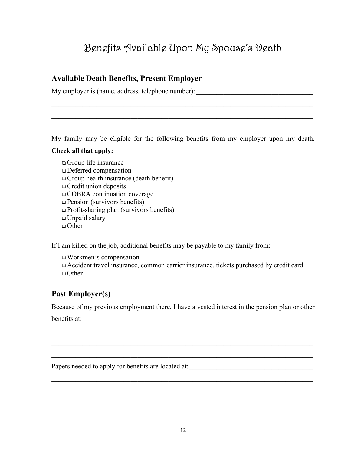# Benefits Available Upon My Spouse's Death

#### **Available Death Benefits, Present Employer**

My employer is (name, address, telephone number):

My family may be eligible for the following benefits from my employer upon my death.

 $\mathcal{L}_\text{max}$  , and the contribution of the contribution of the contribution of the contribution of the contribution of the contribution of the contribution of the contribution of the contribution of the contribution of t

 $\mathcal{L}_\text{max}$  , and the contribution of the contribution of the contribution of the contribution of the contribution of the contribution of the contribution of the contribution of the contribution of the contribution of t

 $\mathcal{L}_\text{max}$  , and the contribution of the contribution of the contribution of the contribution of the contribution of the contribution of the contribution of the contribution of the contribution of the contribution of t

#### **Check all that apply:**

 Group life insurance Deferred compensation Group health insurance (death benefit) Credit union deposits COBRA continuation coverage Pension (survivors benefits) Profit-sharing plan (survivors benefits) Unpaid salary  $\Box$  Other

If I am killed on the job, additional benefits may be payable to my family from:

 Workmen's compensation Accident travel insurance, common carrier insurance, tickets purchased by credit card Other

#### **Past Employer(s)**

Because of my previous employment there, I have a vested interest in the pension plan or other

 $\mathcal{L}_\text{max}$  , and the contribution of the contribution of the contribution of the contribution of the contribution of the contribution of the contribution of the contribution of the contribution of the contribution of t

 $\mathcal{L}_\text{max}$  , and the contribution of the contribution of the contribution of the contribution of the contribution of the contribution of the contribution of the contribution of the contribution of the contribution of t

 $\mathcal{L}_\text{max}$  , and the contribution of the contribution of the contribution of the contribution of the contribution of the contribution of the contribution of the contribution of the contribution of the contribution of t

 $\mathcal{L}_\text{max}$  , and the contribution of the contribution of the contribution of the contribution of the contribution of the contribution of the contribution of the contribution of the contribution of the contribution of t

 $\mathcal{L}_\text{max}$  , and the contribution of the contribution of the contribution of the contribution of the contribution of the contribution of the contribution of the contribution of the contribution of the contribution of t

benefits at:

Papers needed to apply for benefits are located at: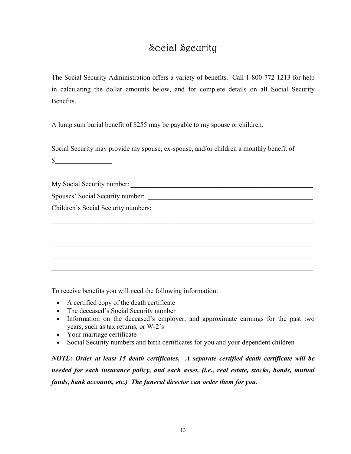### Social Security

The Social Security Administration offers a variety of benefits. Call 1-800-772-1213 for help in calculating the dollar amounts below, and for complete details on all Social Security Benefits.

A lump sum burial benefit of \$255 may be payable to my spouse or children.

Social Security may provide my spouse, ex-spouse, and/or children a monthly benefit of

 $\frac{\sqrt{2}}{2}$ 

My Social Security number: \_\_\_\_\_\_\_\_\_\_\_\_\_\_\_\_\_\_\_\_\_\_\_\_\_\_\_\_\_\_\_\_\_\_\_\_\_\_\_\_\_\_\_\_\_\_\_\_\_\_\_\_\_

Spouses' Social Security number:

Children's Social Security numbers:

To receive benefits you will need the following information:

- A certified copy of the death certificate
- The deceased's Social Security number
- Information on the deceased's employer, and approximate earnings for the past two years, such as tax returns, or W-2's

 $\mathcal{L}_\text{max}$  , and the contribution of the contribution of the contribution of the contribution of the contribution of the contribution of the contribution of the contribution of the contribution of the contribution of t

 $\mathcal{L}_\text{max}$  , and the contribution of the contribution of the contribution of the contribution of the contribution of the contribution of the contribution of the contribution of the contribution of the contribution of t

 $\mathcal{L}_\text{max}$  , and the contribution of the contribution of the contribution of the contribution of the contribution of the contribution of the contribution of the contribution of the contribution of the contribution of t

 $\mathcal{L}_\text{max}$  , and the contribution of the contribution of the contribution of the contribution of the contribution of the contribution of the contribution of the contribution of the contribution of the contribution of t

 $\mathcal{L}_\text{max} = \mathcal{L}_\text{max} = \mathcal{L}_\text{max} = \mathcal{L}_\text{max} = \mathcal{L}_\text{max} = \mathcal{L}_\text{max} = \mathcal{L}_\text{max} = \mathcal{L}_\text{max} = \mathcal{L}_\text{max} = \mathcal{L}_\text{max} = \mathcal{L}_\text{max} = \mathcal{L}_\text{max} = \mathcal{L}_\text{max} = \mathcal{L}_\text{max} = \mathcal{L}_\text{max} = \mathcal{L}_\text{max} = \mathcal{L}_\text{max} = \mathcal{L}_\text{max} = \mathcal{$ 

- Your marriage certificate
- Social Security numbers and birth certificates for you and your dependent children

*NOTE: Order at least 15 death certificates. A separate certified death certificate will be needed for each insurance policy, and each asset, (i.e., real estate, stocks, bonds, mutual funds, bank accounts, etc.) The funeral director can order them for you.*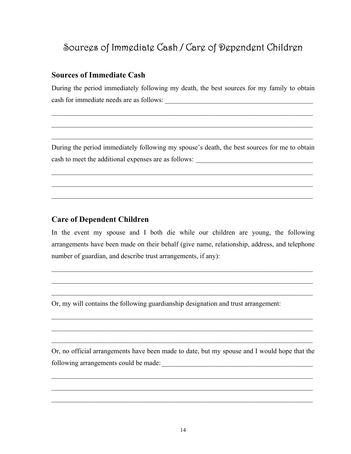### Sources of Immediate Cash / Care of Dependent Children

#### **Sources of Immediate Cash**

During the period immediately following my death, the best sources for my family to obtain cash for immediate needs are as follows:

 $\mathcal{L}_\text{max}$  , and the contribution of the contribution of the contribution of the contribution of the contribution of the contribution of the contribution of the contribution of the contribution of the contribution of t

 $\mathcal{L}_\text{max}$  , and the contribution of the contribution of the contribution of the contribution of the contribution of the contribution of the contribution of the contribution of the contribution of the contribution of t

 $\mathcal{L}_\text{max}$  , and the contribution of the contribution of the contribution of the contribution of the contribution of the contribution of the contribution of the contribution of the contribution of the contribution of t

During the period immediately following my spouse's death, the best sources for me to obtain cash to meet the additional expenses are as follows: \_\_\_\_\_\_\_\_\_\_\_\_\_\_\_\_\_\_\_\_\_\_\_\_\_\_\_\_\_\_\_\_\_\_

 $\mathcal{L}_\text{max}$  , and the contribution of the contribution of the contribution of the contribution of the contribution of the contribution of the contribution of the contribution of the contribution of the contribution of t

 $\mathcal{L}_\text{max}$  , and the contribution of the contribution of the contribution of the contribution of the contribution of the contribution of the contribution of the contribution of the contribution of the contribution of t

 $\mathcal{L}_\text{max}$  , and the contribution of the contribution of the contribution of the contribution of the contribution of the contribution of the contribution of the contribution of the contribution of the contribution of t

#### **Care of Dependent Children**

In the event my spouse and I both die while our children are young, the following arrangements have been made on their behalf (give name, relationship, address, and telephone number of guardian, and describe trust arrangements, if any):

 $\mathcal{L}_\text{max} = \mathcal{L}_\text{max} = \mathcal{L}_\text{max} = \mathcal{L}_\text{max} = \mathcal{L}_\text{max} = \mathcal{L}_\text{max} = \mathcal{L}_\text{max} = \mathcal{L}_\text{max} = \mathcal{L}_\text{max} = \mathcal{L}_\text{max} = \mathcal{L}_\text{max} = \mathcal{L}_\text{max} = \mathcal{L}_\text{max} = \mathcal{L}_\text{max} = \mathcal{L}_\text{max} = \mathcal{L}_\text{max} = \mathcal{L}_\text{max} = \mathcal{L}_\text{max} = \mathcal{$ 

 $\mathcal{L}_\mathcal{L} = \mathcal{L}_\mathcal{L} = \mathcal{L}_\mathcal{L} = \mathcal{L}_\mathcal{L} = \mathcal{L}_\mathcal{L} = \mathcal{L}_\mathcal{L} = \mathcal{L}_\mathcal{L} = \mathcal{L}_\mathcal{L} = \mathcal{L}_\mathcal{L} = \mathcal{L}_\mathcal{L} = \mathcal{L}_\mathcal{L} = \mathcal{L}_\mathcal{L} = \mathcal{L}_\mathcal{L} = \mathcal{L}_\mathcal{L} = \mathcal{L}_\mathcal{L} = \mathcal{L}_\mathcal{L} = \mathcal{L}_\mathcal{L}$ 

 $\mathcal{L}_\mathcal{L} = \{ \mathcal{L}_\mathcal{L} = \{ \mathcal{L}_\mathcal{L} = \{ \mathcal{L}_\mathcal{L} = \{ \mathcal{L}_\mathcal{L} = \{ \mathcal{L}_\mathcal{L} = \{ \mathcal{L}_\mathcal{L} = \{ \mathcal{L}_\mathcal{L} = \{ \mathcal{L}_\mathcal{L} = \{ \mathcal{L}_\mathcal{L} = \{ \mathcal{L}_\mathcal{L} = \{ \mathcal{L}_\mathcal{L} = \{ \mathcal{L}_\mathcal{L} = \{ \mathcal{L}_\mathcal{L} = \{ \mathcal{L}_\mathcal{$ 

 $\mathcal{L}_\mathcal{L} = \{ \mathcal{L}_\mathcal{L} = \{ \mathcal{L}_\mathcal{L} = \{ \mathcal{L}_\mathcal{L} = \{ \mathcal{L}_\mathcal{L} = \{ \mathcal{L}_\mathcal{L} = \{ \mathcal{L}_\mathcal{L} = \{ \mathcal{L}_\mathcal{L} = \{ \mathcal{L}_\mathcal{L} = \{ \mathcal{L}_\mathcal{L} = \{ \mathcal{L}_\mathcal{L} = \{ \mathcal{L}_\mathcal{L} = \{ \mathcal{L}_\mathcal{L} = \{ \mathcal{L}_\mathcal{L} = \{ \mathcal{L}_\mathcal{$ 

 $\mathcal{L}_\text{max} = \mathcal{L}_\text{max} = \mathcal{L}_\text{max} = \mathcal{L}_\text{max} = \mathcal{L}_\text{max} = \mathcal{L}_\text{max} = \mathcal{L}_\text{max} = \mathcal{L}_\text{max} = \mathcal{L}_\text{max} = \mathcal{L}_\text{max} = \mathcal{L}_\text{max} = \mathcal{L}_\text{max} = \mathcal{L}_\text{max} = \mathcal{L}_\text{max} = \mathcal{L}_\text{max} = \mathcal{L}_\text{max} = \mathcal{L}_\text{max} = \mathcal{L}_\text{max} = \mathcal{$ 

 $\mathcal{L}_\mathcal{L} = \{ \mathcal{L}_\mathcal{L} = \{ \mathcal{L}_\mathcal{L} = \{ \mathcal{L}_\mathcal{L} = \{ \mathcal{L}_\mathcal{L} = \{ \mathcal{L}_\mathcal{L} = \{ \mathcal{L}_\mathcal{L} = \{ \mathcal{L}_\mathcal{L} = \{ \mathcal{L}_\mathcal{L} = \{ \mathcal{L}_\mathcal{L} = \{ \mathcal{L}_\mathcal{L} = \{ \mathcal{L}_\mathcal{L} = \{ \mathcal{L}_\mathcal{L} = \{ \mathcal{L}_\mathcal{L} = \{ \mathcal{L}_\mathcal{$ 

Or, my will contains the following guardianship designation and trust arrangement:

Or, no official arrangements have been made to date, but my spouse and I would hope that the following arrangements could be made:\_\_\_\_\_\_\_\_\_\_\_\_\_\_\_\_\_\_\_\_\_\_\_\_\_\_\_\_\_\_\_\_\_\_\_\_\_\_\_\_\_\_\_\_

 $\mathcal{L}_\mathcal{L} = \{ \mathcal{L}_\mathcal{L} = \{ \mathcal{L}_\mathcal{L} = \{ \mathcal{L}_\mathcal{L} = \{ \mathcal{L}_\mathcal{L} = \{ \mathcal{L}_\mathcal{L} = \{ \mathcal{L}_\mathcal{L} = \{ \mathcal{L}_\mathcal{L} = \{ \mathcal{L}_\mathcal{L} = \{ \mathcal{L}_\mathcal{L} = \{ \mathcal{L}_\mathcal{L} = \{ \mathcal{L}_\mathcal{L} = \{ \mathcal{L}_\mathcal{L} = \{ \mathcal{L}_\mathcal{L} = \{ \mathcal{L}_\mathcal{$ 

 $\mathcal{L}_\text{max} = \mathcal{L}_\text{max} = \mathcal{L}_\text{max} = \mathcal{L}_\text{max} = \mathcal{L}_\text{max} = \mathcal{L}_\text{max} = \mathcal{L}_\text{max} = \mathcal{L}_\text{max} = \mathcal{L}_\text{max} = \mathcal{L}_\text{max} = \mathcal{L}_\text{max} = \mathcal{L}_\text{max} = \mathcal{L}_\text{max} = \mathcal{L}_\text{max} = \mathcal{L}_\text{max} = \mathcal{L}_\text{max} = \mathcal{L}_\text{max} = \mathcal{L}_\text{max} = \mathcal{$ 

 $\mathcal{L}_\mathcal{L} = \{ \mathcal{L}_\mathcal{L} = \{ \mathcal{L}_\mathcal{L} = \{ \mathcal{L}_\mathcal{L} = \{ \mathcal{L}_\mathcal{L} = \{ \mathcal{L}_\mathcal{L} = \{ \mathcal{L}_\mathcal{L} = \{ \mathcal{L}_\mathcal{L} = \{ \mathcal{L}_\mathcal{L} = \{ \mathcal{L}_\mathcal{L} = \{ \mathcal{L}_\mathcal{L} = \{ \mathcal{L}_\mathcal{L} = \{ \mathcal{L}_\mathcal{L} = \{ \mathcal{L}_\mathcal{L} = \{ \mathcal{L}_\mathcal{$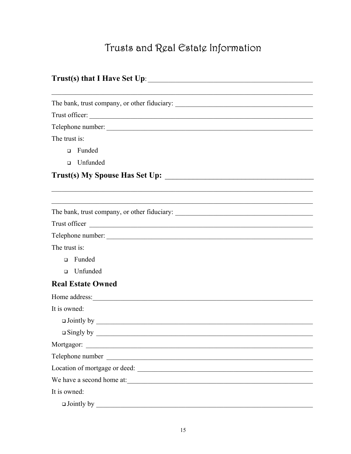# Trusts and Real Estate Information

| Trust(s) that I Have Set Up:                                                                                                            |  |
|-----------------------------------------------------------------------------------------------------------------------------------------|--|
|                                                                                                                                         |  |
|                                                                                                                                         |  |
| Trust officer:                                                                                                                          |  |
| Telephone number:                                                                                                                       |  |
| The trust is:                                                                                                                           |  |
| Funded<br>$\Box$                                                                                                                        |  |
| □ Unfunded                                                                                                                              |  |
|                                                                                                                                         |  |
|                                                                                                                                         |  |
|                                                                                                                                         |  |
|                                                                                                                                         |  |
| Trust officer<br><u> 1989 - Johann Stoff, deutscher Stoffen und der Stoffen und der Stoffen und der Stoffen und der Stoffen und der</u> |  |
| Telephone number:                                                                                                                       |  |
| The trust is:                                                                                                                           |  |
| Funded<br>$\Box$                                                                                                                        |  |
| Unfunded<br>$\Box$                                                                                                                      |  |
| <b>Real Estate Owned</b>                                                                                                                |  |
| Home address:                                                                                                                           |  |
| It is owned:                                                                                                                            |  |
|                                                                                                                                         |  |
|                                                                                                                                         |  |
|                                                                                                                                         |  |
| Telephone number                                                                                                                        |  |
| Location of mortgage or deed:                                                                                                           |  |
| We have a second home at:                                                                                                               |  |
| It is owned:                                                                                                                            |  |
|                                                                                                                                         |  |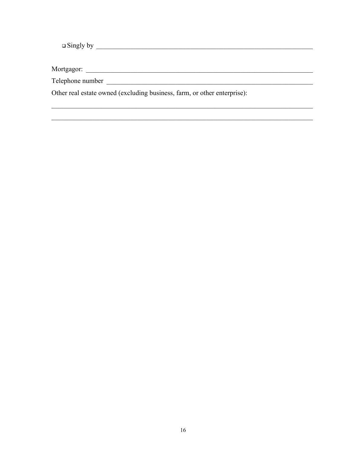Other real estate owned (excluding business, farm, or other enterprise):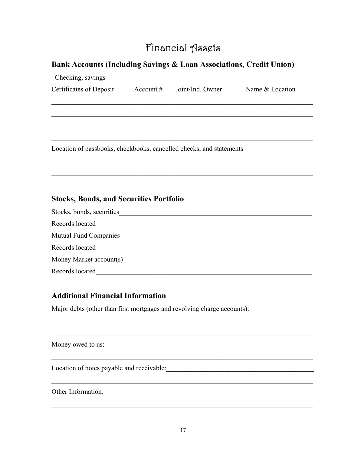### Financial Assets

#### Bank Accounts (Including Savings & Loan Associations, Credit Union)

| Checking, savings                              |                              |                                                                     |
|------------------------------------------------|------------------------------|---------------------------------------------------------------------|
| Certificates of Deposit                        | $Account #$ Joint/Ind. Owner | Name & Location                                                     |
|                                                |                              |                                                                     |
|                                                |                              |                                                                     |
|                                                |                              |                                                                     |
|                                                |                              |                                                                     |
|                                                |                              | Location of passbooks, checkbooks, cancelled checks, and statements |
|                                                |                              |                                                                     |
|                                                |                              |                                                                     |
|                                                |                              |                                                                     |
|                                                |                              |                                                                     |
| <b>Stocks, Bonds, and Securities Portfolio</b> |                              |                                                                     |
|                                                |                              |                                                                     |
|                                                |                              |                                                                     |
| Mutual Fund Companies                          |                              |                                                                     |
| Records located                                |                              |                                                                     |

Records located<br>
<u>Records</u> 100 and 200 and 200 and 200 and 200 and 200 and 200 and 200 and 200 and 200 and 200 and 200 and 200 and 200 and 200 and 200 and 200 and 200 and 200 and 200 and 200 and 200 and 200 and 200 and 200

#### **Additional Financial Information**

Major debts (other than first mortgages and revolving charge accounts):

| Money owed to us:                         |  |
|-------------------------------------------|--|
| Location of notes payable and receivable: |  |
| Other Information:                        |  |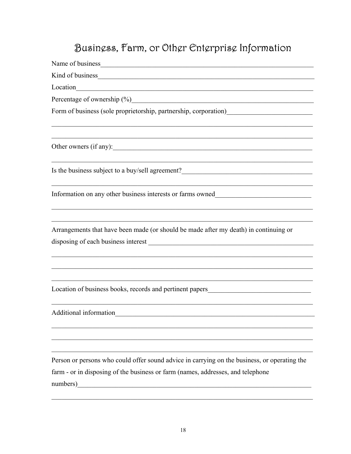# Busingss, Farm, or Othgr Entgrprisg Information

| Name of business Name of business                                                                                                                                                                                              |
|--------------------------------------------------------------------------------------------------------------------------------------------------------------------------------------------------------------------------------|
| Kind of business Manual Communication of business Manual Communication of the Second Communication of the Second Communication of the Second Communication of the Second Communication of the Second Communication of the Seco |
| Location<br><u> 1989 - Johann Barn, mars ar breithinn ar chwaraeth a bhaile ann an t-an an t-an an t-an ann an t-an an t-an a</u>                                                                                              |
|                                                                                                                                                                                                                                |
|                                                                                                                                                                                                                                |
|                                                                                                                                                                                                                                |
|                                                                                                                                                                                                                                |
| Is the business subject to a buy/sell agreement?________________________________                                                                                                                                               |
| Information on any other business interests or farms owned_______________________                                                                                                                                              |
| Arrangements that have been made (or should be made after my death) in continuing or                                                                                                                                           |
| Location of business books, records and pertinent papers_________________________                                                                                                                                              |
| Additional information                                                                                                                                                                                                         |
| Person or persons who could offer sound advice in carrying on the business, or operating the                                                                                                                                   |
| farm - or in disposing of the business or farm (names, addresses, and telephone<br>numbers)                                                                                                                                    |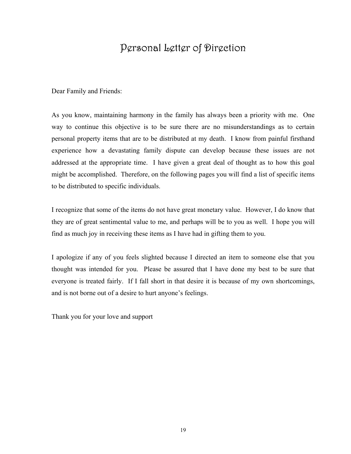### Personal Letter of Direction

Dear Family and Friends:

As you know, maintaining harmony in the family has always been a priority with me. One way to continue this objective is to be sure there are no misunderstandings as to certain personal property items that are to be distributed at my death. I know from painful firsthand experience how a devastating family dispute can develop because these issues are not addressed at the appropriate time. I have given a great deal of thought as to how this goal might be accomplished. Therefore, on the following pages you will find a list of specific items to be distributed to specific individuals.

I recognize that some of the items do not have great monetary value. However, I do know that they are of great sentimental value to me, and perhaps will be to you as well. I hope you will find as much joy in receiving these items as I have had in gifting them to you.

I apologize if any of you feels slighted because I directed an item to someone else that you thought was intended for you. Please be assured that I have done my best to be sure that everyone is treated fairly. If I fall short in that desire it is because of my own shortcomings, and is not borne out of a desire to hurt anyone's feelings.

Thank you for your love and support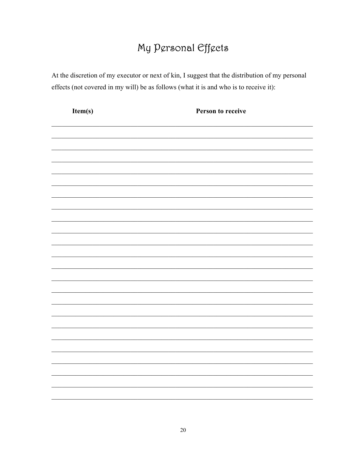# My Personal Effects

At the discretion of my executor or next of kin, I suggest that the distribution of my personal effects (not covered in my will) be as follows (what it is and who is to receive it):

| Item(s) | Person to receive |
|---------|-------------------|
|         |                   |
|         |                   |
|         |                   |
|         |                   |
|         |                   |
|         |                   |
|         |                   |
|         |                   |
|         |                   |
|         |                   |
|         |                   |
|         |                   |
|         |                   |
|         |                   |
|         |                   |
|         |                   |
|         |                   |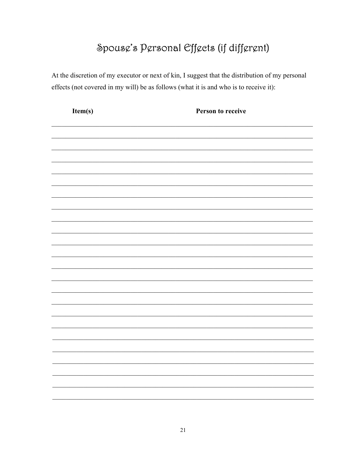# Spouse's Personal Effects (if different)

At the discretion of my executor or next of kin, I suggest that the distribution of my personal effects (not covered in my will) be as follows (what it is and who is to receive it):

| Item(s) | Person to receive |
|---------|-------------------|
|         |                   |
|         |                   |
|         |                   |
|         |                   |
|         |                   |
|         |                   |
|         |                   |
|         |                   |
|         |                   |
|         |                   |
|         |                   |
|         |                   |
|         |                   |
|         |                   |
|         |                   |
|         |                   |
|         |                   |
|         |                   |
|         |                   |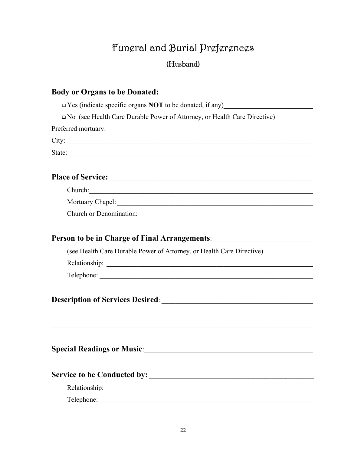# Funeral and Burial Preferences (Husband)

#### **Body or Organs to be Donated:**

 $\Box$  Yes (indicate specific organs **NOT** to be donated, if any)

No (see Health Care Durable Power of Attorney, or Health Care Directive)

Preferred mortuary:\_\_\_\_\_\_\_\_\_\_\_\_\_\_\_\_\_\_\_\_\_\_\_\_\_\_\_\_\_\_\_\_\_\_\_\_\_\_\_\_\_\_\_\_\_\_\_\_\_\_\_\_\_\_\_\_\_\_\_\_

City: \_\_\_\_\_\_\_\_\_\_\_\_\_\_\_\_\_\_\_\_\_\_\_\_\_\_\_\_\_\_\_\_\_\_\_\_\_\_\_\_\_\_\_\_\_\_\_\_\_\_\_\_\_\_\_\_\_\_\_\_\_\_\_\_\_\_\_\_\_\_\_

State:  $\blacksquare$ 

### **Place of Service:** \_\_\_\_\_\_\_\_\_\_\_\_\_\_\_\_\_\_\_\_\_\_\_\_\_\_\_\_\_\_\_\_\_\_\_\_\_\_\_\_\_\_\_\_\_\_\_\_\_\_\_\_\_\_\_\_\_\_\_

Mortuary Chapel:\_\_\_\_\_\_\_\_\_\_\_\_\_\_\_\_\_\_\_\_\_\_\_\_\_\_\_\_\_\_\_\_\_\_\_\_\_\_\_\_\_\_\_\_\_\_\_\_\_\_\_\_\_\_\_\_\_

Church or Denomination:

#### Person to be in Charge of Final Arrangements: \_\_\_\_\_\_\_\_\_\_\_\_\_\_\_\_\_\_\_\_\_\_\_\_\_\_\_\_\_\_\_\_\_\_

(see Health Care Durable Power of Attorney, or Health Care Directive)

Relationship: \_\_\_\_\_\_\_\_\_\_\_\_\_\_\_\_\_\_\_\_\_\_\_\_\_\_\_\_\_\_\_\_\_\_\_\_\_\_\_\_\_\_\_\_\_\_\_\_\_\_\_\_\_\_\_\_\_\_\_\_

Telephone:

#### **Description of Services Desired:**  $\blacksquare$

### **Special Readings or Music**:\_\_\_\_\_\_\_\_\_\_\_\_\_\_\_\_\_\_\_\_\_\_\_\_\_\_\_\_\_\_\_\_\_\_\_\_\_\_\_\_\_\_\_\_\_\_\_\_\_

### **Service to be Conducted by:** \_\_\_\_\_\_\_\_\_\_\_\_\_\_\_\_\_\_\_\_\_\_\_\_\_\_\_\_\_\_\_\_\_\_\_\_\_\_\_\_\_

Relationship: \_\_\_\_\_\_\_\_\_\_\_\_\_\_\_\_\_\_\_\_\_\_\_\_\_\_\_\_\_\_\_\_\_\_\_\_\_\_\_\_\_\_\_\_\_\_\_\_\_\_\_\_\_\_\_\_\_\_\_\_

Telephone: \_\_\_\_\_\_\_\_\_\_\_\_\_\_\_\_\_\_\_\_\_\_\_\_\_\_\_\_\_\_\_\_\_\_\_\_\_\_\_\_\_\_\_\_\_\_\_\_\_\_\_\_\_\_\_\_\_\_\_\_\_\_

 $\mathcal{L}_\text{max} = \mathcal{L}_\text{max} = \mathcal{L}_\text{max} = \mathcal{L}_\text{max} = \mathcal{L}_\text{max} = \mathcal{L}_\text{max} = \mathcal{L}_\text{max} = \mathcal{L}_\text{max} = \mathcal{L}_\text{max} = \mathcal{L}_\text{max} = \mathcal{L}_\text{max} = \mathcal{L}_\text{max} = \mathcal{L}_\text{max} = \mathcal{L}_\text{max} = \mathcal{L}_\text{max} = \mathcal{L}_\text{max} = \mathcal{L}_\text{max} = \mathcal{L}_\text{max} = \mathcal{$ 

 $\mathcal{L}_\text{max}$  , and the contribution of the contribution of the contribution of the contribution of the contribution of the contribution of the contribution of the contribution of the contribution of the contribution of t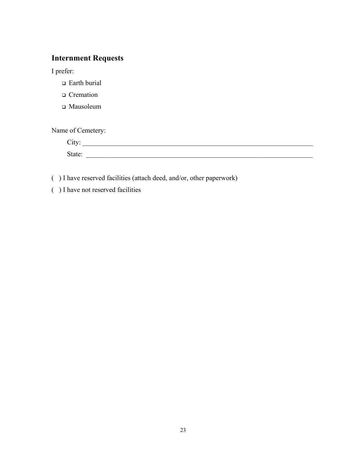### **Internment Requests**

I prefer:

- □ Earth burial
- □ Cremation
- Mausoleum

Name of Cemetery:

| $-1 + 1 - 1$<br>2 L L<br>$\tilde{\phantom{a}}$ |  |  |
|------------------------------------------------|--|--|
| . ניו                                          |  |  |

( ) I have reserved facilities (attach deed, and/or, other paperwork)

( ) I have not reserved facilities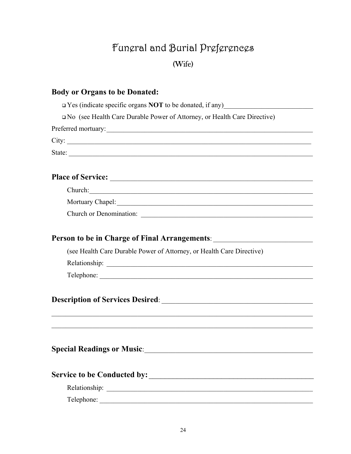# Fungral and Burial Prgfgrgnegs (Wife)

# **Body or Organs to be Donated:**  $\Box$  Yes (indicate specific organs **NOT** to be donated, if any)  $\Box$  No (see Health Care Durable Power of Attorney, or Health Care Directive) State: Church: **Church or Denomination:** Person to be in Charge of Final Arrangements: \_\_\_\_\_\_\_\_\_\_\_\_\_\_\_\_\_\_\_\_\_\_\_\_\_\_\_\_\_\_\_\_\_\_ (see Health Care Durable Power of Attorney, or Health Care Directive) Relationship: 2000 Contract 2000 Contract 2000 Contract 2000 Contract 2000 Contract 2000 Contract 2000 Contract 2000 Contract 2000 Contract 2000 Contract 2000 Contract 2000 Contract 2000 Contract 2000 Contract 2000 Contrac Telephone: **Description of Services Desired:** Special Readings or Music: 1988 and 2008 and 2008 and 2008 and 2008 and 2008 and 2008 and 2008 and 2008 and 20 Telephone: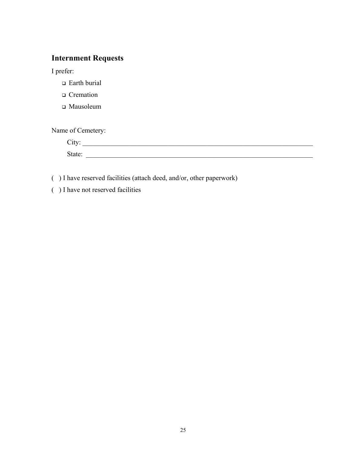### **Internment Requests**

I prefer:

- □ Earth burial
- □ Cremation
- Mausoleum

Name of Cemetery:

| ◡ェ◟  |  |  |
|------|--|--|
| тяте |  |  |

( ) I have reserved facilities (attach deed, and/or, other paperwork)

( ) I have not reserved facilities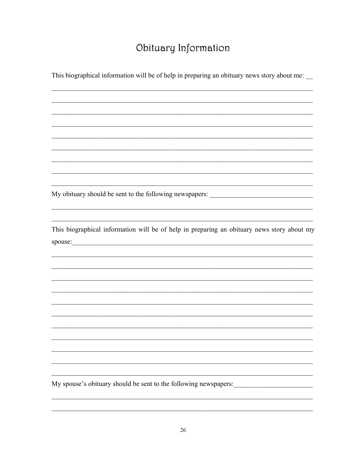### Obituary Information

This biographical information will be of help in preparing an obituary news story about me:

My obituary should be sent to the following newspapers: \_\_\_\_\_\_\_\_\_\_\_\_\_\_\_\_\_\_\_\_\_\_\_\_

This biographical information will be of help in preparing an obituary news story about my 

My spouse's obituary should be sent to the following newspapers: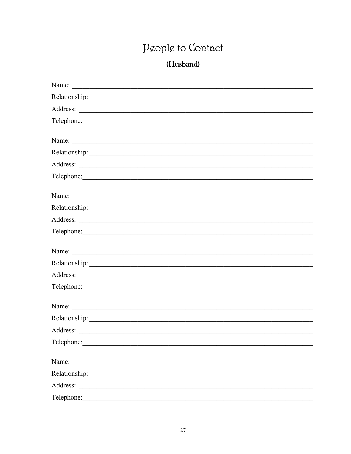# People to Contact

### (Husband)

| Name: $\frac{1}{2}$ |  |
|---------------------|--|
|                     |  |
|                     |  |
|                     |  |
|                     |  |
|                     |  |
|                     |  |
|                     |  |
| Name: $\frac{1}{2}$ |  |
|                     |  |
|                     |  |
| Telephone:          |  |
|                     |  |
|                     |  |
|                     |  |
| Telephone:          |  |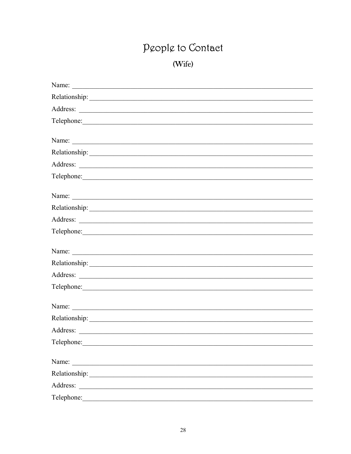# People to Contact

# (Wife)

| Name: $\frac{1}{2}$ |  |
|---------------------|--|
|                     |  |
|                     |  |
| Telephone:          |  |
|                     |  |
| Name: $\frac{1}{2}$ |  |
|                     |  |
|                     |  |
| Telephone:          |  |
|                     |  |
|                     |  |
|                     |  |
|                     |  |
| Telephone:          |  |
|                     |  |
|                     |  |
|                     |  |
| Telephone:          |  |
|                     |  |
| Name: $\frac{1}{2}$ |  |
|                     |  |
|                     |  |
|                     |  |
|                     |  |
|                     |  |
|                     |  |
| Telephone:          |  |